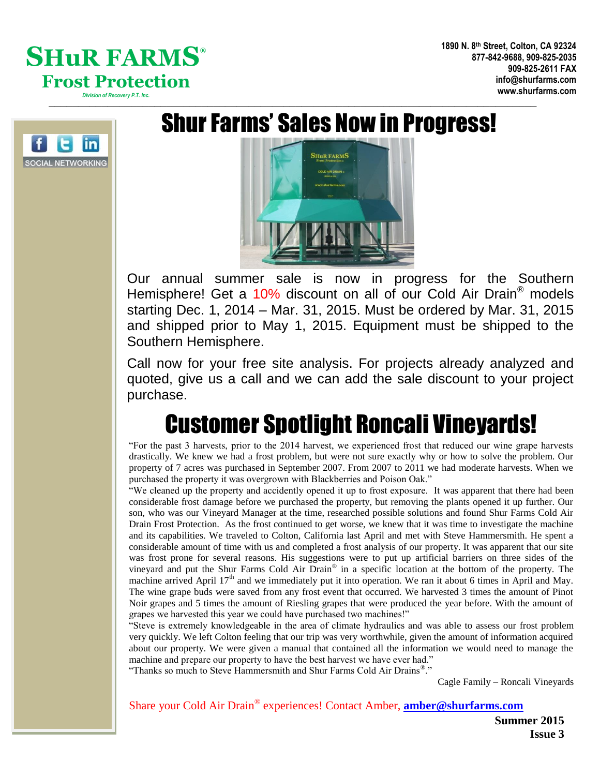### $SHuR$  FARMS® **Frost Protection** *Division of Recovery P.T. Inc.*



## Shur Farms' Sales Now in Progress!

 $\blacksquare$ 



Our annual summer sale is now in progress for the Southern Hemisphere! Get a 10% discount on all of our Cold Air Drain® models starting Dec. 1, 2014 – Mar. 31, 2015. Must be ordered by Mar. 31, 2015 and shipped prior to May 1, 2015. Equipment must be shipped to the Southern Hemisphere.

Call now for your free site analysis. For projects already analyzed and quoted, give us a call and we can add the sale discount to your project purchase.

# Customer Spotlight Roncali Vineyards!

"For the past 3 harvests, prior to the 2014 harvest, we experienced frost that reduced our wine grape harvests drastically. We knew we had a frost problem, but were not sure exactly why or how to solve the problem. Our property of 7 acres was purchased in September 2007. From 2007 to 2011 we had moderate harvests. When we purchased the property it was overgrown with Blackberries and Poison Oak."

"We cleaned up the property and accidently opened it up to frost exposure. It was apparent that there had been considerable frost damage before we purchased the property, but removing the plants opened it up further. Our son, who was our Vineyard Manager at the time, researched possible solutions and found Shur Farms Cold Air Drain Frost Protection. As the frost continued to get worse, we knew that it was time to investigate the machine and its capabilities. We traveled to Colton, California last April and met with Steve Hammersmith. He spent a considerable amount of time with us and completed a frost analysis of our property. It was apparent that our site was frost prone for several reasons. His suggestions were to put up artificial barriers on three sides of the vineyard and put the Shur Farms Cold Air Drain® in a specific location at the bottom of the property. The machine arrived April  $17<sup>th</sup>$  and we immediately put it into operation. We ran it about 6 times in April and May. The wine grape buds were saved from any frost event that occurred. We harvested 3 times the amount of Pinot Noir grapes and 5 times the amount of Riesling grapes that were produced the year before. With the amount of grapes we harvested this year we could have purchased two machines!"

"Steve is extremely knowledgeable in the area of climate hydraulics and was able to assess our frost problem very quickly. We left Colton feeling that our trip was very worthwhile, given the amount of information acquired about our property. We were given a manual that contained all the information we would need to manage the machine and prepare our property to have the best harvest we have ever had."

"Thanks so much to Steve Hammersmith and Shur Farms Cold Air Drains® ."

Cagle Family – Roncali Vineyards

Share your Cold Air Drain® experiences! Contact Amber, **[amber@shurfarms.com](mailto:amber@shurfarms.com)**